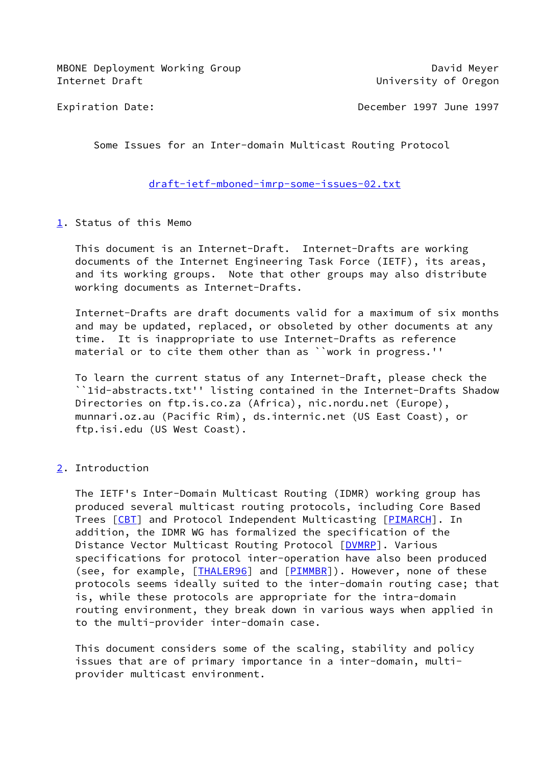MBONE Deployment Working Group David Meyer Internet Draft **Internet Oraft University of Oregon** 

Expiration Date: December 1997 June 1997

Some Issues for an Inter-domain Multicast Routing Protocol

[draft-ietf-mboned-imrp-some-issues-02.txt](https://datatracker.ietf.org/doc/pdf/draft-ietf-mboned-imrp-some-issues-02.txt)

<span id="page-0-0"></span>[1](#page-0-0). Status of this Memo

 This document is an Internet-Draft. Internet-Drafts are working documents of the Internet Engineering Task Force (IETF), its areas, and its working groups. Note that other groups may also distribute working documents as Internet-Drafts.

 Internet-Drafts are draft documents valid for a maximum of six months and may be updated, replaced, or obsoleted by other documents at any time. It is inappropriate to use Internet-Drafts as reference material or to cite them other than as ``work in progress.''

 To learn the current status of any Internet-Draft, please check the ``1id-abstracts.txt'' listing contained in the Internet-Drafts Shadow Directories on ftp.is.co.za (Africa), nic.nordu.net (Europe), munnari.oz.au (Pacific Rim), ds.internic.net (US East Coast), or ftp.isi.edu (US West Coast).

<span id="page-0-1"></span>[2](#page-0-1). Introduction

 The IETF's Inter-Domain Multicast Routing (IDMR) working group has produced several multicast routing protocols, including Core Based Trees [[CBT](#page-10-0)] and Protocol Independent Multicasting [[PIMARCH](#page-10-1)]. In addition, the IDMR WG has formalized the specification of the Distance Vector Multicast Routing Protocol [[DVMRP\]](#page-10-2). Various specifications for protocol inter-operation have also been produced (see, for example, [[THALER96\]](#page-6-0) and [[PIMMBR](#page-11-0)]). However, none of these protocols seems ideally suited to the inter-domain routing case; that is, while these protocols are appropriate for the intra-domain routing environment, they break down in various ways when applied in to the multi-provider inter-domain case.

 This document considers some of the scaling, stability and policy issues that are of primary importance in a inter-domain, multi provider multicast environment.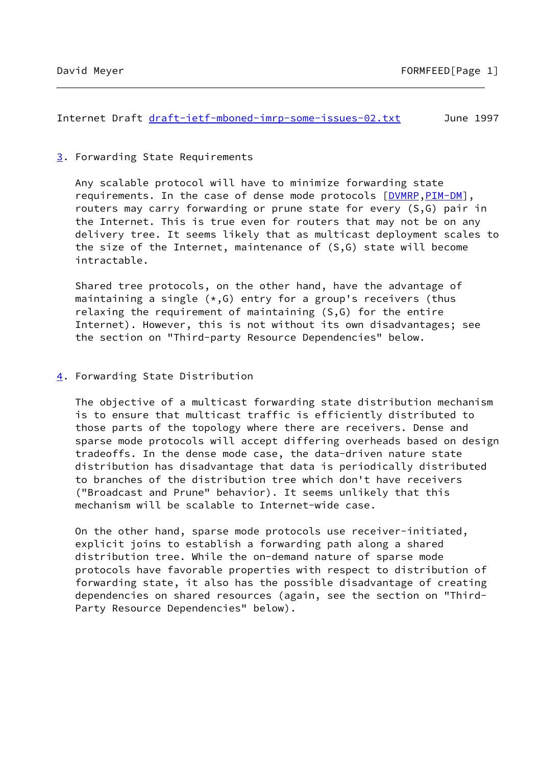Internet Draft [draft-ietf-mboned-imrp-some-issues-02.txt](https://datatracker.ietf.org/doc/pdf/draft-ietf-mboned-imrp-some-issues-02.txt) June 1997

# <span id="page-1-0"></span>[3](#page-1-0). Forwarding State Requirements

 Any scalable protocol will have to minimize forwarding state requirements. In the case of dense mode protocols [[DVMRP,](#page-10-2)[PIM-DM](#page-11-1)], routers may carry forwarding or prune state for every (S,G) pair in the Internet. This is true even for routers that may not be on any delivery tree. It seems likely that as multicast deployment scales to the size of the Internet, maintenance of (S,G) state will become intractable.

 Shared tree protocols, on the other hand, have the advantage of maintaining a single  $(*, G)$  entry for a group's receivers (thus relaxing the requirement of maintaining (S,G) for the entire Internet). However, this is not without its own disadvantages; see the section on "Third-party Resource Dependencies" below.

### <span id="page-1-1"></span>[4](#page-1-1). Forwarding State Distribution

 The objective of a multicast forwarding state distribution mechanism is to ensure that multicast traffic is efficiently distributed to those parts of the topology where there are receivers. Dense and sparse mode protocols will accept differing overheads based on design tradeoffs. In the dense mode case, the data-driven nature state distribution has disadvantage that data is periodically distributed to branches of the distribution tree which don't have receivers ("Broadcast and Prune" behavior). It seems unlikely that this mechanism will be scalable to Internet-wide case.

 On the other hand, sparse mode protocols use receiver-initiated, explicit joins to establish a forwarding path along a shared distribution tree. While the on-demand nature of sparse mode protocols have favorable properties with respect to distribution of forwarding state, it also has the possible disadvantage of creating dependencies on shared resources (again, see the section on "Third- Party Resource Dependencies" below).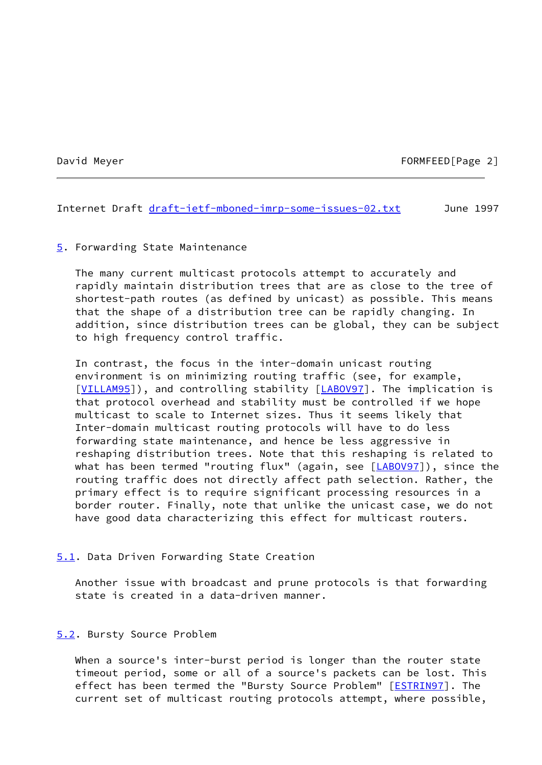### David Meyer **FORMFEED**[Page 2]

Internet Draft [draft-ietf-mboned-imrp-some-issues-02.txt](https://datatracker.ietf.org/doc/pdf/draft-ietf-mboned-imrp-some-issues-02.txt) June 1997

### <span id="page-2-0"></span>[5](#page-2-0). Forwarding State Maintenance

 The many current multicast protocols attempt to accurately and rapidly maintain distribution trees that are as close to the tree of shortest-path routes (as defined by unicast) as possible. This means that the shape of a distribution tree can be rapidly changing. In addition, since distribution trees can be global, they can be subject to high frequency control traffic.

 In contrast, the focus in the inter-domain unicast routing environment is on minimizing routing traffic (see, for example, [\[VILLAM95](#page-12-0)]), and controlling stability [\[LABOV97](#page-10-3)]. The implication is that protocol overhead and stability must be controlled if we hope multicast to scale to Internet sizes. Thus it seems likely that Inter-domain multicast routing protocols will have to do less forwarding state maintenance, and hence be less aggressive in reshaping distribution trees. Note that this reshaping is related to what has been termed "routing flux" (again, see [\[LABOV97](#page-10-3)]), since the routing traffic does not directly affect path selection. Rather, the primary effect is to require significant processing resources in a border router. Finally, note that unlike the unicast case, we do not have good data characterizing this effect for multicast routers.

### <span id="page-2-1"></span>[5.1](#page-2-1). Data Driven Forwarding State Creation

 Another issue with broadcast and prune protocols is that forwarding state is created in a data-driven manner.

### <span id="page-2-2"></span>[5.2](#page-2-2). Bursty Source Problem

 When a source's inter-burst period is longer than the router state timeout period, some or all of a source's packets can be lost. This effect has been termed the "Bursty Source Problem" [[ESTRIN97\]](#page-11-2). The current set of multicast routing protocols attempt, where possible,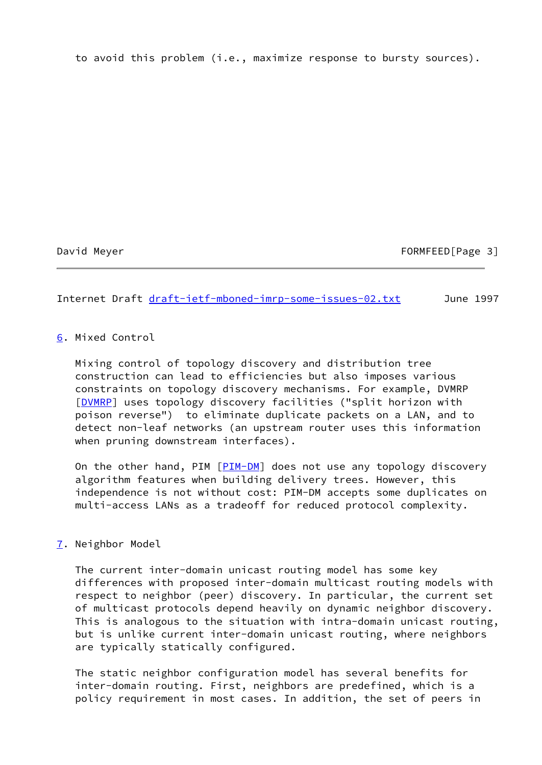to avoid this problem (i.e., maximize response to bursty sources).

David Meyer FORMFEED [Page 3]

Internet Draft [draft-ietf-mboned-imrp-some-issues-02.txt](https://datatracker.ietf.org/doc/pdf/draft-ietf-mboned-imrp-some-issues-02.txt) June 1997

# <span id="page-3-0"></span>[6](#page-3-0). Mixed Control

 Mixing control of topology discovery and distribution tree construction can lead to efficiencies but also imposes various constraints on topology discovery mechanisms. For example, DVMRP [\[DVMRP](#page-10-2)] uses topology discovery facilities ("split horizon with poison reverse") to eliminate duplicate packets on a LAN, and to detect non-leaf networks (an upstream router uses this information when pruning downstream interfaces).

 On the other hand, PIM [\[PIM-DM](#page-11-1)] does not use any topology discovery algorithm features when building delivery trees. However, this independence is not without cost: PIM-DM accepts some duplicates on multi-access LANs as a tradeoff for reduced protocol complexity.

# <span id="page-3-1"></span>[7](#page-3-1). Neighbor Model

 The current inter-domain unicast routing model has some key differences with proposed inter-domain multicast routing models with respect to neighbor (peer) discovery. In particular, the current set of multicast protocols depend heavily on dynamic neighbor discovery. This is analogous to the situation with intra-domain unicast routing, but is unlike current inter-domain unicast routing, where neighbors are typically statically configured.

 The static neighbor configuration model has several benefits for inter-domain routing. First, neighbors are predefined, which is a policy requirement in most cases. In addition, the set of peers in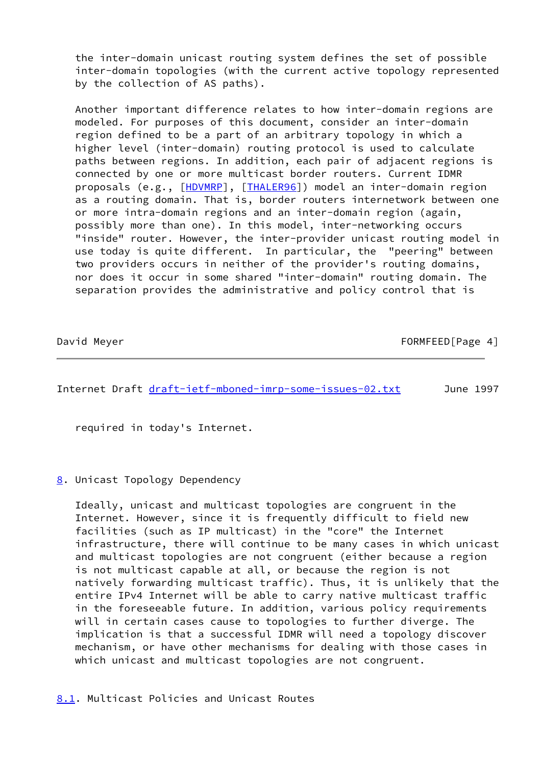the inter-domain unicast routing system defines the set of possible inter-domain topologies (with the current active topology represented by the collection of AS paths).

 Another important difference relates to how inter-domain regions are modeled. For purposes of this document, consider an inter-domain region defined to be a part of an arbitrary topology in which a higher level (inter-domain) routing protocol is used to calculate paths between regions. In addition, each pair of adjacent regions is connected by one or more multicast border routers. Current IDMR proposals (e.g., [\[HDVMRP](#page-10-4)], [[THALER96\]](#page-6-0)) model an inter-domain region as a routing domain. That is, border routers internetwork between one or more intra-domain regions and an inter-domain region (again, possibly more than one). In this model, inter-networking occurs "inside" router. However, the inter-provider unicast routing model in use today is quite different. In particular, the "peering" between two providers occurs in neither of the provider's routing domains, nor does it occur in some shared "inter-domain" routing domain. The separation provides the administrative and policy control that is

| David Meyer | FORMFEED[Page 4] |
|-------------|------------------|
|             |                  |

Internet Draft [draft-ietf-mboned-imrp-some-issues-02.txt](https://datatracker.ietf.org/doc/pdf/draft-ietf-mboned-imrp-some-issues-02.txt) June 1997

required in today's Internet.

# <span id="page-4-0"></span>[8](#page-4-0). Unicast Topology Dependency

 Ideally, unicast and multicast topologies are congruent in the Internet. However, since it is frequently difficult to field new facilities (such as IP multicast) in the "core" the Internet infrastructure, there will continue to be many cases in which unicast and multicast topologies are not congruent (either because a region is not multicast capable at all, or because the region is not natively forwarding multicast traffic). Thus, it is unlikely that the entire IPv4 Internet will be able to carry native multicast traffic in the foreseeable future. In addition, various policy requirements will in certain cases cause to topologies to further diverge. The implication is that a successful IDMR will need a topology discover mechanism, or have other mechanisms for dealing with those cases in which unicast and multicast topologies are not congruent.

<span id="page-4-1"></span>[8.1](#page-4-1). Multicast Policies and Unicast Routes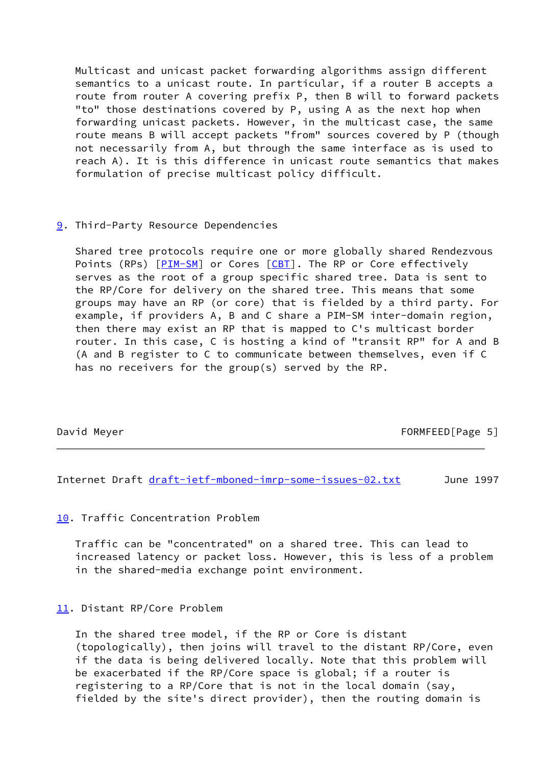Multicast and unicast packet forwarding algorithms assign different semantics to a unicast route. In particular, if a router B accepts a route from router A covering prefix P, then B will to forward packets "to" those destinations covered by P, using A as the next hop when forwarding unicast packets. However, in the multicast case, the same route means B will accept packets "from" sources covered by P (though not necessarily from A, but through the same interface as is used to reach A). It is this difference in unicast route semantics that makes formulation of precise multicast policy difficult.

# <span id="page-5-0"></span>[9](#page-5-0). Third-Party Resource Dependencies

 Shared tree protocols require one or more globally shared Rendezvous Points (RPs) [\[PIM-SM](#page-11-3)] or Cores [\[CBT](#page-10-0)]. The RP or Core effectively serves as the root of a group specific shared tree. Data is sent to the RP/Core for delivery on the shared tree. This means that some groups may have an RP (or core) that is fielded by a third party. For example, if providers A, B and C share a PIM-SM inter-domain region, then there may exist an RP that is mapped to C's multicast border router. In this case, C is hosting a kind of "transit RP" for A and B (A and B register to C to communicate between themselves, even if C has no receivers for the group(s) served by the RP.

David Meyer FORMFEED Page 5

Internet Draft [draft-ietf-mboned-imrp-some-issues-02.txt](https://datatracker.ietf.org/doc/pdf/draft-ietf-mboned-imrp-some-issues-02.txt) June 1997

# <span id="page-5-1"></span>[10.](#page-5-1) Traffic Concentration Problem

 Traffic can be "concentrated" on a shared tree. This can lead to increased latency or packet loss. However, this is less of a problem in the shared-media exchange point environment.

# <span id="page-5-2"></span>[11.](#page-5-2) Distant RP/Core Problem

 In the shared tree model, if the RP or Core is distant (topologically), then joins will travel to the distant RP/Core, even if the data is being delivered locally. Note that this problem will be exacerbated if the RP/Core space is global; if a router is registering to a RP/Core that is not in the local domain (say, fielded by the site's direct provider), then the routing domain is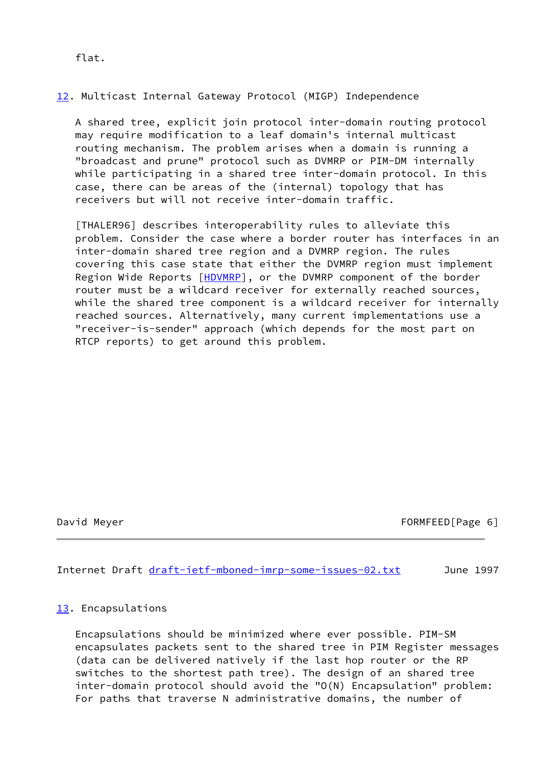# <span id="page-6-1"></span>[12.](#page-6-1) Multicast Internal Gateway Protocol (MIGP) Independence

 A shared tree, explicit join protocol inter-domain routing protocol may require modification to a leaf domain's internal multicast routing mechanism. The problem arises when a domain is running a "broadcast and prune" protocol such as DVMRP or PIM-DM internally while participating in a shared tree inter-domain protocol. In this case, there can be areas of the (internal) topology that has receivers but will not receive inter-domain traffic.

<span id="page-6-0"></span> [THALER96] describes interoperability rules to alleviate this problem. Consider the case where a border router has interfaces in an inter-domain shared tree region and a DVMRP region. The rules covering this case state that either the DVMRP region must implement Region Wide Reports [\[HDVMRP](#page-10-4)], or the DVMRP component of the border router must be a wildcard receiver for externally reached sources, while the shared tree component is a wildcard receiver for internally reached sources. Alternatively, many current implementations use a "receiver-is-sender" approach (which depends for the most part on RTCP reports) to get around this problem.

# David Meyer FORMFEED [Page 6]

Internet Draft [draft-ietf-mboned-imrp-some-issues-02.txt](https://datatracker.ietf.org/doc/pdf/draft-ietf-mboned-imrp-some-issues-02.txt) June 1997

# <span id="page-6-2"></span>[13.](#page-6-2) Encapsulations

 Encapsulations should be minimized where ever possible. PIM-SM encapsulates packets sent to the shared tree in PIM Register messages (data can be delivered natively if the last hop router or the RP switches to the shortest path tree). The design of an shared tree inter-domain protocol should avoid the "O(N) Encapsulation" problem: For paths that traverse N administrative domains, the number of

flat.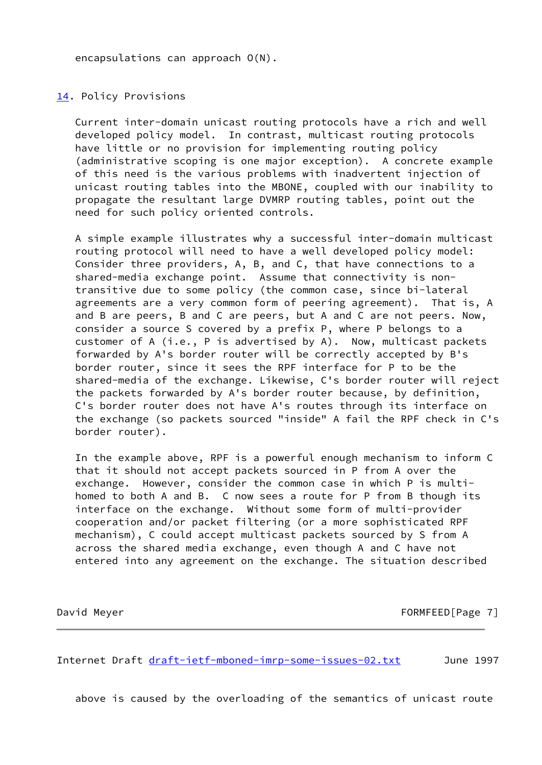encapsulations can approach O(N).

<span id="page-7-0"></span>[14.](#page-7-0) Policy Provisions

 Current inter-domain unicast routing protocols have a rich and well developed policy model. In contrast, multicast routing protocols have little or no provision for implementing routing policy (administrative scoping is one major exception). A concrete example of this need is the various problems with inadvertent injection of unicast routing tables into the MBONE, coupled with our inability to propagate the resultant large DVMRP routing tables, point out the need for such policy oriented controls.

 A simple example illustrates why a successful inter-domain multicast routing protocol will need to have a well developed policy model: Consider three providers, A, B, and C, that have connections to a shared-media exchange point. Assume that connectivity is non transitive due to some policy (the common case, since bi-lateral agreements are a very common form of peering agreement). That is, A and B are peers, B and C are peers, but A and C are not peers. Now, consider a source S covered by a prefix P, where P belongs to a customer of A (i.e., P is advertised by A). Now, multicast packets forwarded by A's border router will be correctly accepted by B's border router, since it sees the RPF interface for P to be the shared-media of the exchange. Likewise, C's border router will reject the packets forwarded by A's border router because, by definition, C's border router does not have A's routes through its interface on the exchange (so packets sourced "inside" A fail the RPF check in C's border router).

 In the example above, RPF is a powerful enough mechanism to inform C that it should not accept packets sourced in P from A over the exchange. However, consider the common case in which P is multi homed to both A and B. C now sees a route for P from B though its interface on the exchange. Without some form of multi-provider cooperation and/or packet filtering (or a more sophisticated RPF mechanism), C could accept multicast packets sourced by S from A across the shared media exchange, even though A and C have not entered into any agreement on the exchange. The situation described

David Meyer **FORMFEED**[Page 7]

Internet Draft [draft-ietf-mboned-imrp-some-issues-02.txt](https://datatracker.ietf.org/doc/pdf/draft-ietf-mboned-imrp-some-issues-02.txt) June 1997

above is caused by the overloading of the semantics of unicast route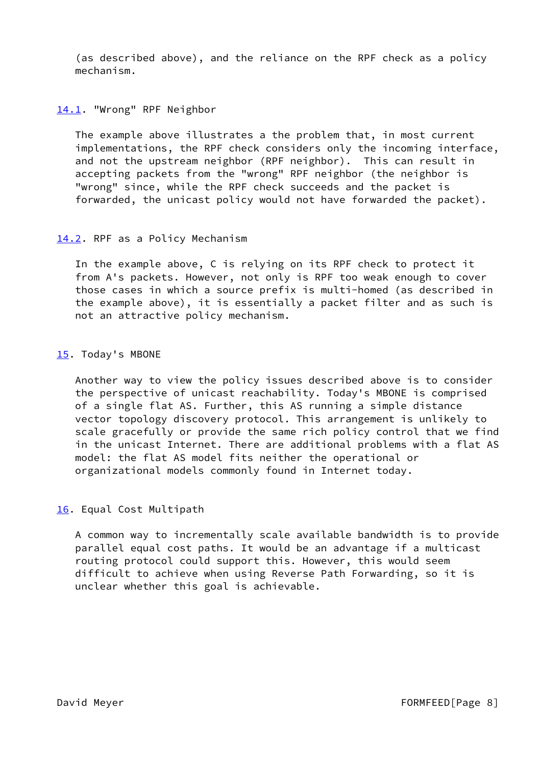(as described above), and the reliance on the RPF check as a policy mechanism.

### <span id="page-8-0"></span>[14.1](#page-8-0). "Wrong" RPF Neighbor

 The example above illustrates a the problem that, in most current implementations, the RPF check considers only the incoming interface, and not the upstream neighbor (RPF neighbor). This can result in accepting packets from the "wrong" RPF neighbor (the neighbor is "wrong" since, while the RPF check succeeds and the packet is forwarded, the unicast policy would not have forwarded the packet).

### <span id="page-8-1"></span>[14.2](#page-8-1). RPF as a Policy Mechanism

 In the example above, C is relying on its RPF check to protect it from A's packets. However, not only is RPF too weak enough to cover those cases in which a source prefix is multi-homed (as described in the example above), it is essentially a packet filter and as such is not an attractive policy mechanism.

### <span id="page-8-2"></span>[15.](#page-8-2) Today's MBONE

 Another way to view the policy issues described above is to consider the perspective of unicast reachability. Today's MBONE is comprised of a single flat AS. Further, this AS running a simple distance vector topology discovery protocol. This arrangement is unlikely to scale gracefully or provide the same rich policy control that we find in the unicast Internet. There are additional problems with a flat AS model: the flat AS model fits neither the operational or organizational models commonly found in Internet today.

# <span id="page-8-3"></span>[16.](#page-8-3) Equal Cost Multipath

 A common way to incrementally scale available bandwidth is to provide parallel equal cost paths. It would be an advantage if a multicast routing protocol could support this. However, this would seem difficult to achieve when using Reverse Path Forwarding, so it is unclear whether this goal is achievable.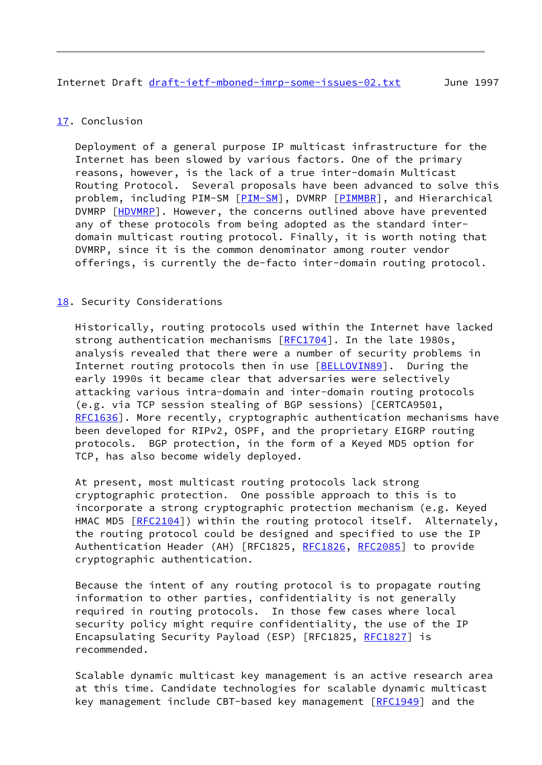# <span id="page-9-0"></span>[17.](#page-9-0) Conclusion

 Deployment of a general purpose IP multicast infrastructure for the Internet has been slowed by various factors. One of the primary reasons, however, is the lack of a true inter-domain Multicast Routing Protocol. Several proposals have been advanced to solve this problem, including [PIM-SM](#page-11-3) [PIM-SM], DVMRP [[PIMMBR](#page-11-0)], and Hierarchical DVMRP [[HDVMRP](#page-10-4)]. However, the concerns outlined above have prevented any of these protocols from being adopted as the standard inter domain multicast routing protocol. Finally, it is worth noting that DVMRP, since it is the common denominator among router vendor offerings, is currently the de-facto inter-domain routing protocol.

# <span id="page-9-1"></span>[18.](#page-9-1) Security Considerations

 Historically, routing protocols used within the Internet have lacked strong authentication mechanisms [\[RFC1704](https://datatracker.ietf.org/doc/pdf/rfc1704)]. In the late 1980s, analysis revealed that there were a number of security problems in Internet routing protocols then in use [\[BELLOVIN89](#page-10-5)]. During the early 1990s it became clear that adversaries were selectively attacking various intra-domain and inter-domain routing protocols (e.g. via TCP session stealing of BGP sessions) [CERTCA9501, [RFC1636](https://datatracker.ietf.org/doc/pdf/rfc1636)]. More recently, cryptographic authentication mechanisms have been developed for RIPv2, OSPF, and the proprietary EIGRP routing protocols. BGP protection, in the form of a Keyed MD5 option for TCP, has also become widely deployed.

 At present, most multicast routing protocols lack strong cryptographic protection. One possible approach to this is to incorporate a strong cryptographic protection mechanism (e.g. Keyed HMAC MD5 [\[RFC2104](https://datatracker.ietf.org/doc/pdf/rfc2104)]) within the routing protocol itself. Alternately, the routing protocol could be designed and specified to use the IP Authentication Header (AH) [RFC1825, [RFC1826](https://datatracker.ietf.org/doc/pdf/rfc1826), [RFC2085](https://datatracker.ietf.org/doc/pdf/rfc2085)] to provide cryptographic authentication.

 Because the intent of any routing protocol is to propagate routing information to other parties, confidentiality is not generally required in routing protocols. In those few cases where local security policy might require confidentiality, the use of the IP Encapsulating Security Payload (ESP) [RFC1825, [RFC1827](https://datatracker.ietf.org/doc/pdf/rfc1827)] is recommended.

 Scalable dynamic multicast key management is an active research area at this time. Candidate technologies for scalable dynamic multicast key management include CBT-based key management [\[RFC1949](https://datatracker.ietf.org/doc/pdf/rfc1949)] and the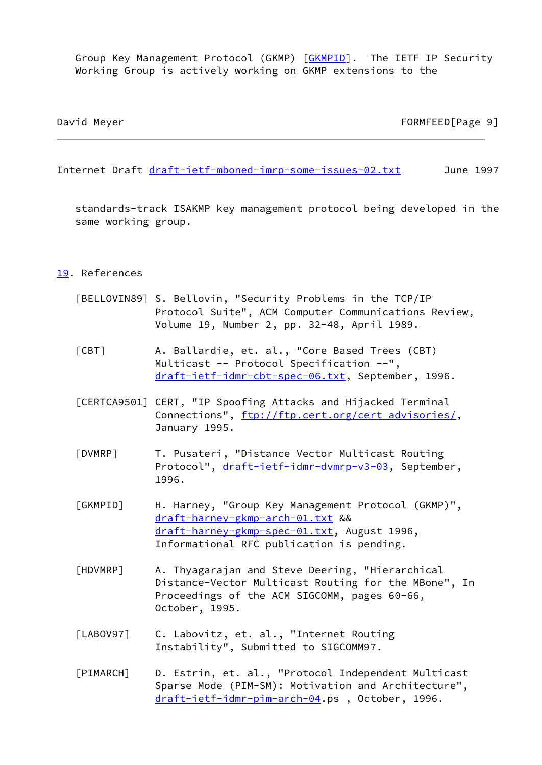Group Key Management Protocol (GKMP) [\[GKMPID](#page-10-6)]. The IETF IP Security Working Group is actively working on GKMP extensions to the

David Meyer FORMFEED Page 9

Internet Draft [draft-ietf-mboned-imrp-some-issues-02.txt](https://datatracker.ietf.org/doc/pdf/draft-ietf-mboned-imrp-some-issues-02.txt) June 1997

 standards-track ISAKMP key management protocol being developed in the same working group.

# <span id="page-10-7"></span>[19.](#page-10-7) References

- <span id="page-10-5"></span> [BELLOVIN89] S. Bellovin, "Security Problems in the TCP/IP Protocol Suite", ACM Computer Communications Review, Volume 19, Number 2, pp. 32-48, April 1989.
- <span id="page-10-0"></span> [CBT] A. Ballardie, et. al., "Core Based Trees (CBT) Multicast -- Protocol Specification --", [draft-ietf-idmr-cbt-spec-06.txt](https://datatracker.ietf.org/doc/pdf/draft-ietf-idmr-cbt-spec-06.txt), September, 1996.
- [CERTCA9501] CERT, "IP Spoofing Attacks and Hijacked Terminal Connections", [ftp://ftp.cert.org/cert\\_advisories/](ftp://ftp.cert.org/cert_advisories/), January 1995.
- <span id="page-10-2"></span> [DVMRP] T. Pusateri, "Distance Vector Multicast Routing Protocol", [draft-ietf-idmr-dvmrp-v3-03](https://datatracker.ietf.org/doc/pdf/draft-ietf-idmr-dvmrp-v3-03), September, 1996.
- <span id="page-10-6"></span> [GKMPID] H. Harney, "Group Key Management Protocol (GKMP)", [draft-harney-gkmp-arch-01.txt](https://datatracker.ietf.org/doc/pdf/draft-harney-gkmp-arch-01.txt) && [draft-harney-gkmp-spec-01.txt](https://datatracker.ietf.org/doc/pdf/draft-harney-gkmp-spec-01.txt), August 1996, Informational RFC publication is pending.
- <span id="page-10-4"></span> [HDVMRP] A. Thyagarajan and Steve Deering, "Hierarchical Distance-Vector Multicast Routing for the MBone", In Proceedings of the ACM SIGCOMM, pages 60-66, October, 1995.
- <span id="page-10-3"></span>[LABOV97] C. Labovitz, et. al., "Internet Routing Instability", Submitted to SIGCOMM97.
- <span id="page-10-1"></span> [PIMARCH] D. Estrin, et. al., "Protocol Independent Multicast Sparse Mode (PIM-SM): Motivation and Architecture", [draft-ietf-idmr-pim-arch-04](https://datatracker.ietf.org/doc/pdf/draft-ietf-idmr-pim-arch-04).ps , October, 1996.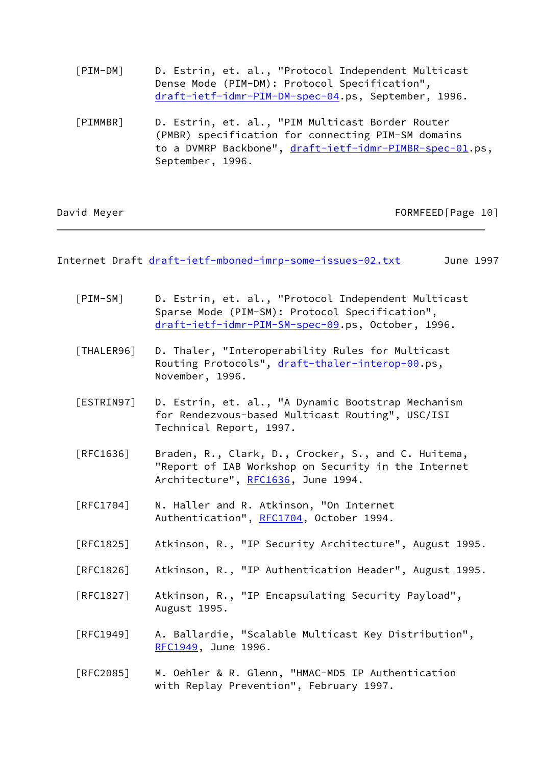- <span id="page-11-1"></span> [PIM-DM] D. Estrin, et. al., "Protocol Independent Multicast Dense Mode (PIM-DM): Protocol Specification", [draft-ietf-idmr-PIM-DM-spec-04](https://datatracker.ietf.org/doc/pdf/draft-ietf-idmr-PIM-DM-spec-04).ps, September, 1996.
- <span id="page-11-0"></span> [PIMMBR] D. Estrin, et. al., "PIM Multicast Border Router (PMBR) specification for connecting PIM-SM domains to a DVMRP Backbone", [draft-ietf-idmr-PIMBR-spec-01.](https://datatracker.ietf.org/doc/pdf/draft-ietf-idmr-PIMBR-spec-01)ps, September, 1996.

| David Meyer |  |
|-------------|--|
|             |  |

FORMFEED[Page 10]

Internet Draft [draft-ietf-mboned-imrp-some-issues-02.txt](https://datatracker.ietf.org/doc/pdf/draft-ietf-mboned-imrp-some-issues-02.txt) June 1997

- <span id="page-11-3"></span> [PIM-SM] D. Estrin, et. al., "Protocol Independent Multicast Sparse Mode (PIM-SM): Protocol Specification", [draft-ietf-idmr-PIM-SM-spec-09](https://datatracker.ietf.org/doc/pdf/draft-ietf-idmr-PIM-SM-spec-09).ps, October, 1996.
- [THALER96] D. Thaler, "Interoperability Rules for Multicast Routing Protocols", [draft-thaler-interop-00](https://datatracker.ietf.org/doc/pdf/draft-thaler-interop-00).ps, November, 1996.
- <span id="page-11-2"></span> [ESTRIN97] D. Estrin, et. al., "A Dynamic Bootstrap Mechanism for Rendezvous-based Multicast Routing", USC/ISI Technical Report, 1997.
- [RFC1636] Braden, R., Clark, D., Crocker, S., and C. Huitema, "Report of IAB Workshop on Security in the Internet Architecture", [RFC1636,](https://datatracker.ietf.org/doc/pdf/rfc1636) June 1994.
- [RFC1704] N. Haller and R. Atkinson, "On Internet Authentication", [RFC1704](https://datatracker.ietf.org/doc/pdf/rfc1704), October 1994.
- [RFC1825] Atkinson, R., "IP Security Architecture", August 1995.
- [RFC1826] Atkinson, R., "IP Authentication Header", August 1995.
- [RFC1827] Atkinson, R., "IP Encapsulating Security Payload", August 1995.
- [RFC1949] A. Ballardie, "Scalable Multicast Key Distribution", [RFC1949](https://datatracker.ietf.org/doc/pdf/rfc1949), June 1996.
- [RFC2085] M. Oehler & R. Glenn, "HMAC-MD5 IP Authentication with Replay Prevention", February 1997.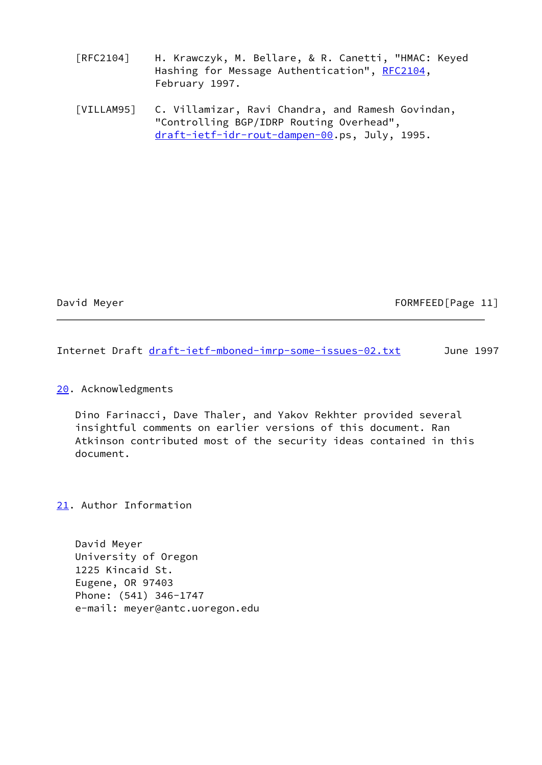[RFC2104] H. Krawczyk, M. Bellare, & R. Canetti, "HMAC: Keyed Hashing for Message Authentication", [RFC2104](https://datatracker.ietf.org/doc/pdf/rfc2104), February 1997.

<span id="page-12-0"></span> [VILLAM95] C. Villamizar, Ravi Chandra, and Ramesh Govindan, "Controlling BGP/IDRP Routing Overhead", [draft-ietf-idr-rout-dampen-00](https://datatracker.ietf.org/doc/pdf/draft-ietf-idr-rout-dampen-00).ps, July, 1995.

# David Meyer **FORMFEED**[Page 11]

Internet Draft [draft-ietf-mboned-imrp-some-issues-02.txt](https://datatracker.ietf.org/doc/pdf/draft-ietf-mboned-imrp-some-issues-02.txt) June 1997

# <span id="page-12-1"></span>[20.](#page-12-1) Acknowledgments

 Dino Farinacci, Dave Thaler, and Yakov Rekhter provided several insightful comments on earlier versions of this document. Ran Atkinson contributed most of the security ideas contained in this document.

<span id="page-12-2"></span>[21.](#page-12-2) Author Information

 David Meyer University of Oregon 1225 Kincaid St. Eugene, OR 97403 Phone: (541) 346-1747 e-mail: meyer@antc.uoregon.edu